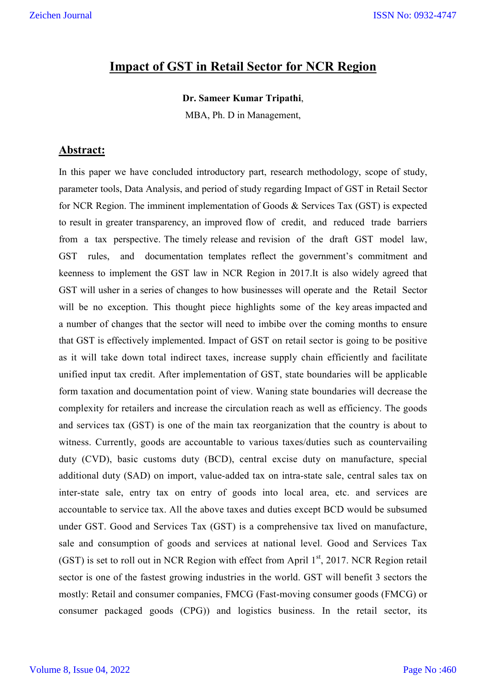# **Impact of GST in Retail Sector for NCR Region**

#### **Dr. Sameer Kumar Tripathi**,

MBA, Ph. D in Management,

### **Abstract:**

In this paper we have concluded introductory part, research methodology, scope of study, parameter tools, Data Analysis, and period of study regarding Impact of GST in Retail Sector for NCR Region. The imminent implementation of Goods & Services Tax (GST) is expected to result in greater transparency, an improved flow of credit, and reduced trade barriers from a tax perspective. The timely release and revision of the draft GST model law, GST rules, and documentation templates reflect the government's commitment and keenness to implement the GST law in NCR Region in 2017.It is also widely agreed that GST will usher in a series of changes to how businesses will operate and the Retail Sector will be no exception. This thought piece highlights some of the key areas impacted and a number of changes that the sector will need to imbibe over the coming months to ensure that GST is effectively implemented. Impact of GST on retail sector is going to be positive as it will take down total indirect taxes, increase supply chain efficiently and facilitate unified input tax credit. After implementation of GST, state boundaries will be applicable form taxation and documentation point of view. Waning state boundaries will decrease the complexity for retailers and increase the circulation reach as well as efficiency. The goods and services tax (GST) is one of the main tax reorganization that the country is about to witness. Currently, goods are accountable to various taxes/duties such as countervailing duty (CVD), basic customs duty (BCD), central excise duty on manufacture, special additional duty (SAD) on import, value-added tax on intra-state sale, central sales tax on inter-state sale, entry tax on entry of goods into local area, etc. and services are accountable to service tax. All the above taxes and duties except BCD would be subsumed under GST. Good and Services Tax (GST) is a comprehensive tax lived on manufacture, sale and consumption of goods and services at national level. Good and Services Tax (GST) is set to roll out in NCR Region with effect from April  $1<sup>st</sup>$ , 2017. NCR Region retail sector is one of the fastest growing industries in the world. GST will benefit 3 sectors the mostly: Retail and consumer companies, FMCG (Fast-moving consumer goods (FMCG) or consumer packaged goods (CPG)) and logistics business. In the retail sector, its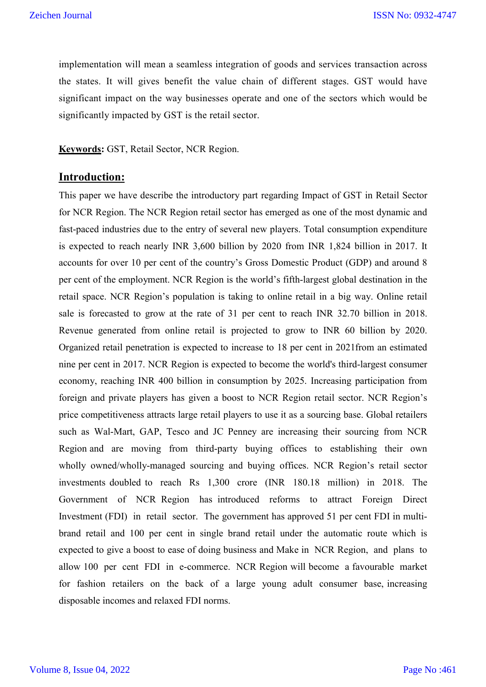implementation will mean a seamless integration of goods and services transaction across the states. It will gives benefit the value chain of different stages. GST would have significant impact on the way businesses operate and one of the sectors which would be significantly impacted by GST is the retail sector.

**Keywords:** GST, Retail Sector, NCR Region.

## **Introduction:**

This paper we have describe the introductory part regarding Impact of GST in Retail Sector for NCR Region. The NCR Region retail sector has emerged as one of the most dynamic and fast-paced industries due to the entry of several new players. Total consumption expenditure is expected to reach nearly INR 3,600 billion by 2020 from INR 1,824 billion in 2017. It accounts for over 10 per cent of the country's Gross Domestic Product (GDP) and around 8 per cent of the employment. NCR Region is the world's fifth-largest global destination in the retail space. NCR Region's population is taking to online retail in a big way. Online retail sale is forecasted to grow at the rate of 31 per cent to reach INR 32.70 billion in 2018. Revenue generated from online retail is projected to grow to INR 60 billion by 2020. Organized retail penetration is expected to increase to 18 per cent in 2021from an estimated nine per cent in 2017. NCR Region is expected to become the world's third-largest consumer economy, reaching INR 400 billion in consumption by 2025. Increasing participation from foreign and private players has given a boost to NCR Region retail sector. NCR Region's price competitiveness attracts large retail players to use it as a sourcing base. Global retailers such as Wal-Mart, GAP, Tesco and JC Penney are increasing their sourcing from NCR Region and are moving from third-party buying offices to establishing their own wholly owned/wholly-managed sourcing and buying offices. NCR Region's retail sector investments doubled to reach Rs 1,300 crore (INR 180.18 million) in 2018. The Government of NCR Region has introduced reforms to attract Foreign Direct Investment (FDI) in retail sector. The government has approved 51 per cent FDI in multibrand retail and 100 per cent in single brand retail under the automatic route which is expected to give a boost to ease of doing business and Make in NCR Region, and plans to allow 100 per cent FDI in e-commerce. NCR Region will become a favourable market for fashion retailers on the back of a large young adult consumer base, increasing disposable incomes and relaxed FDI norms.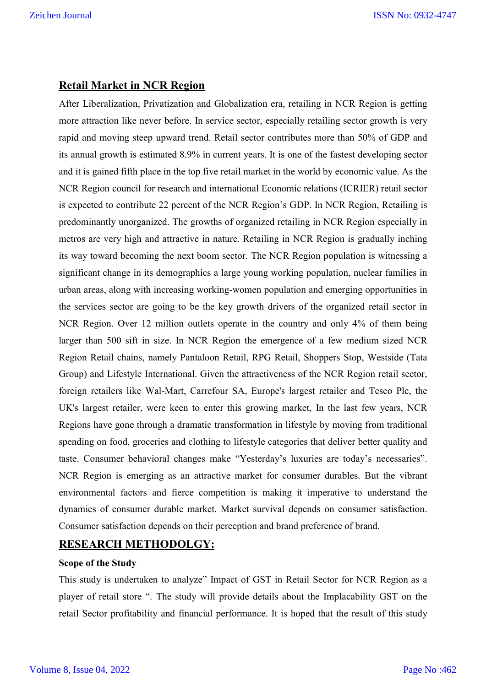## **Retail Market in NCR Region**

After Liberalization, Privatization and Globalization era, retailing in NCR Region is getting more attraction like never before. In service sector, especially retailing sector growth is very rapid and moving steep upward trend. Retail sector contributes more than 50% of GDP and its annual growth is estimated 8.9% in current years. It is one of the fastest developing sector and it is gained fifth place in the top five retail market in the world by economic value. As the NCR Region council for research and international Economic relations (ICRIER) retail sector is expected to contribute 22 percent of the NCR Region's GDP. In NCR Region, Retailing is predominantly unorganized. The growths of organized retailing in NCR Region especially in metros are very high and attractive in nature. Retailing in NCR Region is gradually inching its way toward becoming the next boom sector. The NCR Region population is witnessing a significant change in its demographics a large young working population, nuclear families in urban areas, along with increasing working-women population and emerging opportunities in the services sector are going to be the key growth drivers of the organized retail sector in NCR Region. Over 12 million outlets operate in the country and only 4% of them being larger than 500 sift in size. In NCR Region the emergence of a few medium sized NCR Region Retail chains, namely Pantaloon Retail, RPG Retail, Shoppers Stop, Westside (Tata Group) and Lifestyle International. Given the attractiveness of the NCR Region retail sector, foreign retailers like Wal-Mart, Carrefour SA, Europe's largest retailer and Tesco Plc, the UK's largest retailer, were keen to enter this growing market, In the last few years, NCR Regions have gone through a dramatic transformation in lifestyle by moving from traditional spending on food, groceries and clothing to lifestyle categories that deliver better quality and taste. Consumer behavioral changes make "Yesterday's luxuries are today's necessaries". NCR Region is emerging as an attractive market for consumer durables. But the vibrant environmental factors and fierce competition is making it imperative to understand the dynamics of consumer durable market. Market survival depends on consumer satisfaction. Consumer satisfaction depends on their perception and brand preference of brand.

# **RESEARCH METHODOLGY:**

#### **Scope of the Study**

This study is undertaken to analyze" Impact of GST in Retail Sector for NCR Region as a player of retail store ". The study will provide details about the Implacability GST on the retail Sector profitability and financial performance. It is hoped that the result of this study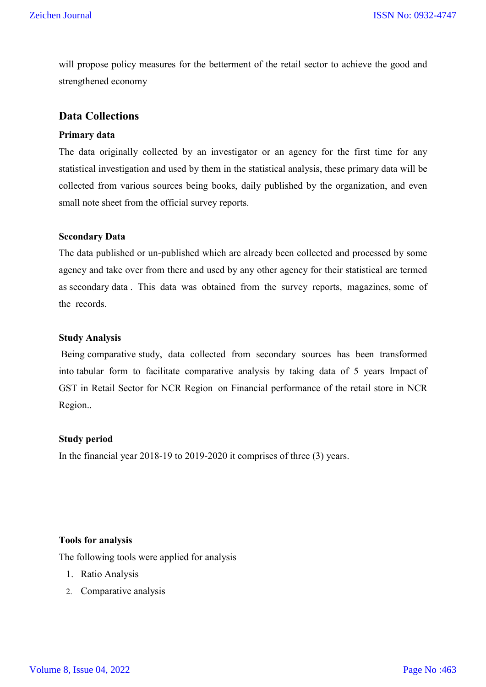will propose policy measures for the betterment of the retail sector to achieve the good and strengthened economy

## **Data Collections**

#### **Primary data**

The data originally collected by an investigator or an agency for the first time for any statistical investigation and used by them in the statistical analysis, these primary data will be collected from various sources being books, daily published by the organization, and even small note sheet from the official survey reports.

#### **Secondary Data**

The data published or un-published which are already been collected and processed by some agency and take over from there and used by any other agency for their statistical are termed as secondary data . This data was obtained from the survey reports, magazines, some of the records.

#### **Study Analysis**

Being comparative study, data collected from secondary sources has been transformed into tabular form to facilitate comparative analysis by taking data of 5 years Impact of GST in Retail Sector for NCR Region on Financial performance of the retail store in NCR Region..

#### **Study period**

In the financial year 2018-19 to 2019-2020 it comprises of three (3) years.

#### **Tools for analysis**

The following tools were applied for analysis

- 1. Ratio Analysis
- 2. Comparative analysis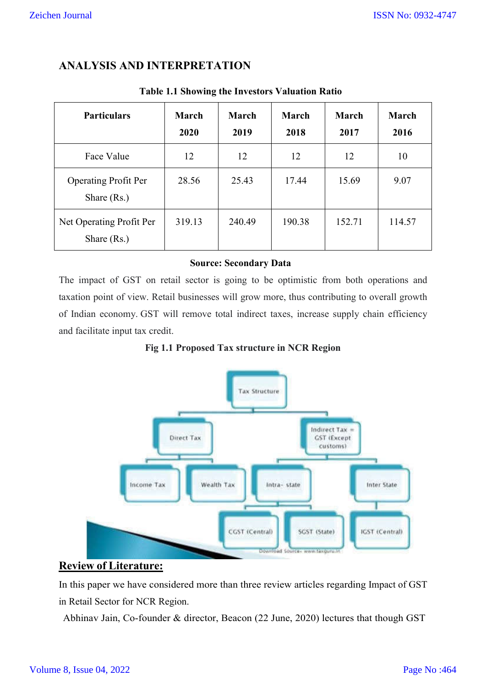# **ANALYSIS AND INTERPRETATION**

| <b>Particulars</b>                           | <b>March</b><br>2020 | March<br>2019 | <b>March</b><br>2018 | March<br>2017 | March<br>2016 |
|----------------------------------------------|----------------------|---------------|----------------------|---------------|---------------|
| Face Value                                   | 12                   | 12            | 12                   | 12            | 10            |
| <b>Operating Profit Per</b><br>Share $(Rs.)$ | 28.56                | 25.43         | 17.44                | 15.69         | 9.07          |
| Net Operating Profit Per<br>Share $(Rs.)$    | 319.13               | 240.49        | 190.38               | 152.71        | 114.57        |

### **Table 1.1 Showing the Investors Valuation Ratio**

### **Source: Secondary Data**

The impact of GST on retail sector is going to be optimistic from both operations and taxation point of view. Retail businesses will grow more, thus contributing to overall growth of Indian economy. GST will remove total indirect taxes, increase supply chain efficiency and facilitate input tax credit.

**Fig 1.1 Proposed Tax structure in NCR Region**



## **Review of Literature:**

In this paper we have considered more than three review articles regarding Impact of GST in Retail Sector for NCR Region.

Abhinav Jain, Co-founder & director, Beacon (22 June, 2020) lectures that though GST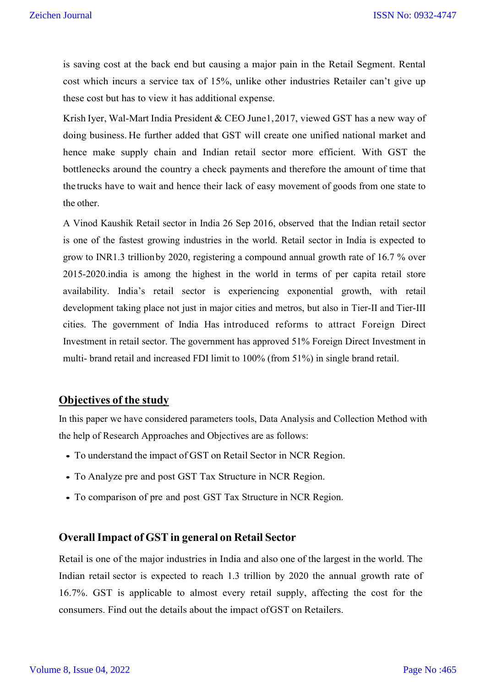is saving cost at the back end but causing a major pain in the Retail Segment. Rental cost which incurs a service tax of 15%, unlike other industries Retailer can't give up these cost but has to view it has additional expense.

Krish Iyer, Wal-Mart India President & CEO June1,2017, viewed GST has a new way of doing business. He further added that GST will create one unified national market and hence make supply chain and Indian retail sector more efficient. With GST the bottlenecks around the country a check payments and therefore the amount of time that the trucks have to wait and hence their lack of easy movement of goods from one state to the other.

A Vinod Kaushik Retail sector in India 26 Sep 2016, observed that the Indian retail sector is one of the fastest growing industries in the world. Retail sector in India is expected to grow to INR1.3 trillionby 2020, registering a compound annual growth rate of 16.7 % over 2015-2020.india is among the highest in the world in terms of per capita retail store availability. India's retail sector is experiencing exponential growth, with retail development taking place not just in major cities and metros, but also in Tier-II and Tier-III cities. The government of India Has introduced reforms to attract Foreign Direct Investment in retail sector. The government has approved 51% Foreign Direct Investment in multi- brand retail and increased FDI limit to 100% (from 51%) in single brand retail.

# **Objectives of the study**

In this paper we have considered parameters tools, Data Analysis and Collection Method with the help of Research Approaches and Objectives are as follows:

- To understand the impact of GST on Retail Sector in NCR Region.
- To Analyze pre and post GST Tax Structure in NCR Region.
- To comparison of pre and post GST Tax Structure in NCR Region.

#### **OverallImpact of GST in general on Retail Sector**

Retail is one of the major industries in India and also one of the largest in the world. The Indian retail sector is expected to reach 1.3 trillion by 2020 the annual growth rate of 16.7%. GST is applicable to almost every retail supply, affecting the cost for the consumers. Find out the details about the impact ofGST on Retailers.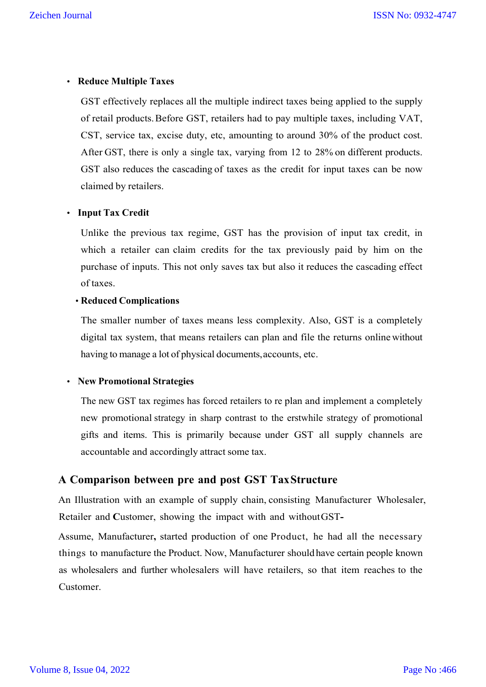## **• Reduce Multiple Taxes**

GST effectively replaces all the multiple indirect taxes being applied to the supply of retail products.Before GST, retailers had to pay multiple taxes, including VAT, CST, service tax, excise duty, etc, amounting to around 30% of the product cost. After GST, there is only a single tax, varying from 12 to 28% on different products. GST also reduces the cascading of taxes as the credit for input taxes can be now claimed by retailers.

### **• Input Tax Credit**

Unlike the previous tax regime, GST has the provision of input tax credit, in which a retailer can claim credits for the tax previously paid by him on the purchase of inputs. This not only saves tax but also it reduces the cascading effect of taxes.

### **• Reduced Complications**

The smaller number of taxes means less complexity. Also, GST is a completely digital tax system, that means retailers can plan and file the returns online without having to manage a lot of physical documents, accounts, etc.

### **• New Promotional Strategies**

The new GST tax regimes has forced retailers to re plan and implement a completely new promotional strategy in sharp contrast to the erstwhile strategy of promotional gifts and items. This is primarily because under GST all supply channels are accountable and accordingly attract some tax.

# **A Comparison between pre and post GST TaxStructure**

An Illustration with an example of supply chain, consisting Manufacturer Wholesaler, Retailer and **C**ustomer, showing the impact with and withoutGST**-**

Assume, Manufacturer**,** started production of one Product, he had all the necessary things to manufacture the Product. Now, Manufacturer should have certain people known as wholesalers and further wholesalers will have retailers, so that item reaches to the Customer.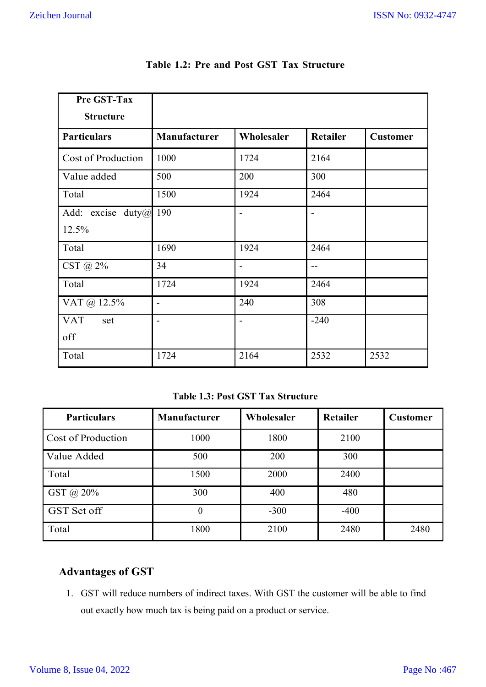| Pre GST-Tax               |                          |                |                 |                 |
|---------------------------|--------------------------|----------------|-----------------|-----------------|
| <b>Structure</b>          |                          |                |                 |                 |
| <b>Particulars</b>        | <b>Manufacturer</b>      | Wholesaler     | <b>Retailer</b> | <b>Customer</b> |
| <b>Cost of Production</b> | 1000                     | 1724           | 2164            |                 |
| Value added               | 500                      | 200            | 300             |                 |
| Total                     | 1500                     | 1924           | 2464            |                 |
| excise<br>Add:<br>duty(a) | 190                      | $\blacksquare$ | $\blacksquare$  |                 |
| 12.5%                     |                          |                |                 |                 |
| Total                     | 1690                     | 1924           | 2464            |                 |
| CST @ 2%                  | 34                       |                |                 |                 |
| Total                     | 1724                     | 1924           | 2464            |                 |
| VAT @ 12.5%               | $\overline{\phantom{0}}$ | 240            | 308             |                 |
| <b>VAT</b><br>set         | $\overline{\phantom{a}}$ |                | $-240$          |                 |
| off                       |                          |                |                 |                 |
| Total                     | 1724                     | 2164           | 2532            | 2532            |

**Table 1.2: Pre and Post GST Tax Structure**

**Table 1.3: Post GST Tax Structure**

| <b>Particulars</b> | <b>Manufacturer</b> | Wholesaler | <b>Retailer</b> | <b>Customer</b> |
|--------------------|---------------------|------------|-----------------|-----------------|
| Cost of Production | 1000                | 1800       | 2100            |                 |
| Value Added        | 500                 | 200        | 300             |                 |
| Total              | 1500                | 2000       | 2400            |                 |
| GST @ 20%          | 300                 | 400        | 480             |                 |
| GST Set off        | 0                   | $-300$     | $-400$          |                 |
| Total              | 1800                | 2100       | 2480            | 2480            |

# **Advantages of GST**

1. GST will reduce numbers of indirect taxes. With GST the customer will be able to find out exactly how much tax is being paid on a product or service.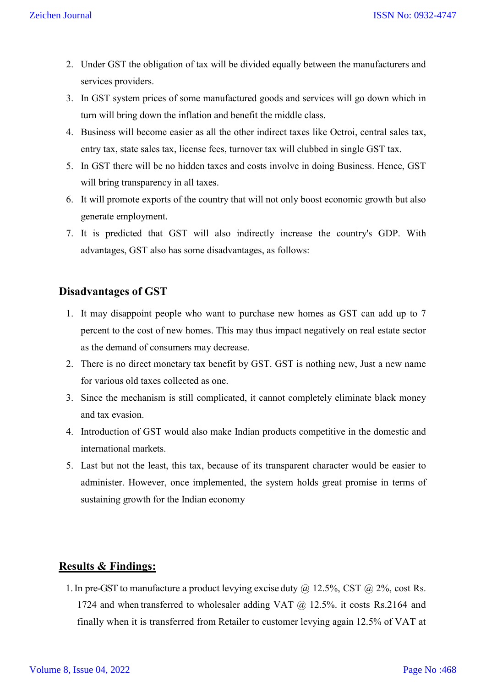- 2. Under GST the obligation of tax will be divided equally between the manufacturers and services providers.
- 3. In GST system prices of some manufactured goods and services will go down which in turn will bring down the inflation and benefit the middle class.
- 4. Business will become easier as all the other indirect taxes like Octroi, central sales tax, entry tax, state sales tax, license fees, turnover tax will clubbed in single GST tax.
- 5. In GST there will be no hidden taxes and costs involve in doing Business. Hence, GST will bring transparency in all taxes.
- 6. It will promote exports of the country that will not only boost economic growth but also generate employment.
- 7. It is predicted that GST will also indirectly increase the country's GDP. With advantages, GST also has some disadvantages, as follows:

## **Disadvantages of GST**

- 1. It may disappoint people who want to purchase new homes as GST can add up to 7 percent to the cost of new homes. This may thus impact negatively on real estate sector as the demand of consumers may decrease.
- 2. There is no direct monetary tax benefit by GST. GST is nothing new, Just a new name for various old taxes collected as one.
- 3. Since the mechanism is still complicated, it cannot completely eliminate black money and tax evasion.
- 4. Introduction of GST would also make Indian products competitive in the domestic and international markets.
- 5. Last but not the least, this tax, because of its transparent character would be easier to administer. However, once implemented, the system holds great promise in terms of sustaining growth for the Indian economy

# **Results & Findings:**

1. In pre-GST to manufacture a product levying excise duty  $\omega$  12.5%, CST  $\omega$  2%, cost Rs. 1724 and when transferred to wholesaler adding VAT  $@$  12.5%. it costs Rs.2164 and finally when it is transferred from Retailer to customer levying again 12.5% of VAT at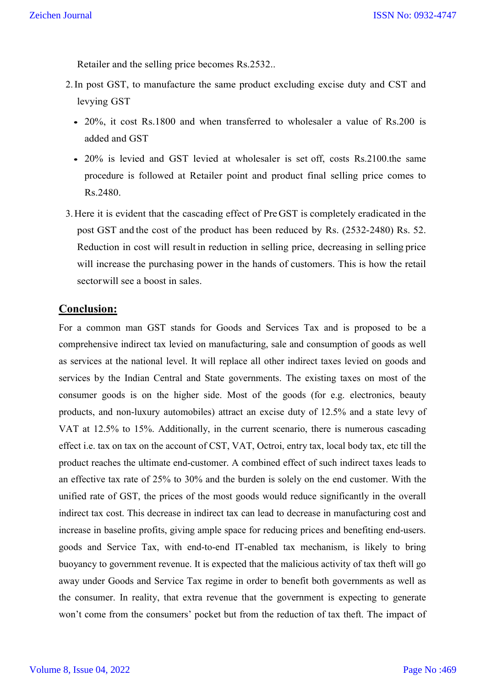Retailer and the selling price becomes Rs.2532..

- 2.In post GST, to manufacture the same product excluding excise duty and CST and levying GST
	- 20%, it cost Rs.1800 and when transferred to wholesaler a value of Rs.200 is added and GST
	- 20% is levied and GST levied at wholesaler is set off, costs Rs.2100.the same procedure is followed at Retailer point and product final selling price comes to Rs.2480.
- 3.Here it is evident that the cascading effect of PreGST is completely eradicated in the post GST and the cost of the product has been reduced by Rs. (2532-2480) Rs. 52. Reduction in cost will result in reduction in selling price, decreasing in selling price will increase the purchasing power in the hands of customers. This is how the retail sectorwill see a boost in sales.

### **Conclusion:**

For a common man GST stands for Goods and Services Tax and is proposed to be a comprehensive indirect tax levied on manufacturing, sale and consumption of goods as well as services at the national level. It will replace all other indirect taxes levied on goods and services by the Indian Central and State governments. The existing taxes on most of the consumer goods is on the higher side. Most of the goods (for e.g. electronics, beauty products, and non-luxury automobiles) attract an excise duty of 12.5% and a state levy of VAT at 12.5% to 15%. Additionally, in the current scenario, there is numerous cascading effect i.e. tax on tax on the account of CST, VAT, Octroi, entry tax, local body tax, etc till the product reaches the ultimate end-customer. A combined effect of such indirect taxes leads to an effective tax rate of 25% to 30% and the burden is solely on the end customer. With the unified rate of GST, the prices of the most goods would reduce significantly in the overall indirect tax cost. This decrease in indirect tax can lead to decrease in manufacturing cost and increase in baseline profits, giving ample space for reducing prices and benefiting end-users. goods and Service Tax, with end-to-end IT-enabled tax mechanism, is likely to bring buoyancy to government revenue. It is expected that the malicious activity of tax theft will go away under Goods and Service Tax regime in order to benefit both governments as well as the consumer. In reality, that extra revenue that the government is expecting to generate won't come from the consumers' pocket but from the reduction of tax theft. The impact of